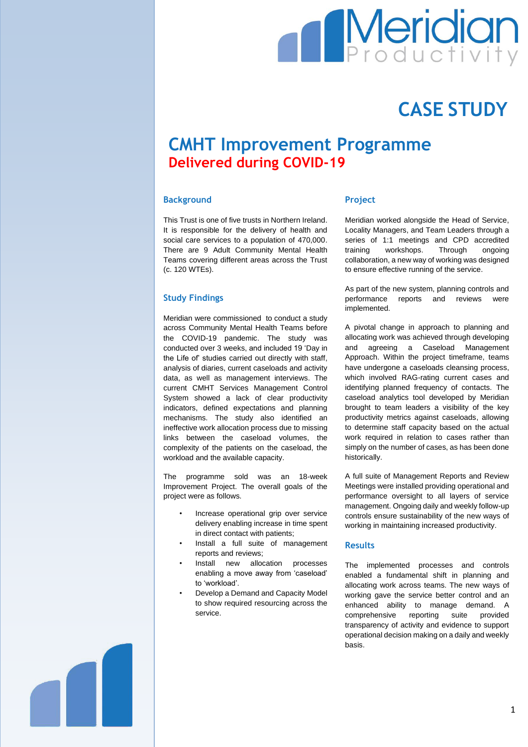

# **CASE STUDY**

# **CMHT Improvement Programme Delivered during COVID-19**

## **Background**

This Trust is one of five trusts in Northern Ireland. It is responsible for the delivery of health and social care services to a population of 470,000. There are 9 Adult Community Mental Health Teams covering different areas across the Trust (c. 120 WTEs).

#### **Study Findings**

Meridian were commissioned to conduct a study across Community Mental Health Teams before the COVID-19 pandemic. The study was conducted over 3 weeks, and included 19 'Day in the Life of' studies carried out directly with staff, analysis of diaries, current caseloads and activity data, as well as management interviews. The current CMHT Services Management Control System showed a lack of clear productivity indicators, defined expectations and planning mechanisms. The study also identified an ineffective work allocation process due to missing links between the caseload volumes, the complexity of the patients on the caseload, the workload and the available capacity.

The programme sold was an 18-week Improvement Project. The overall goals of the project were as follows.

- Increase operational grip over service delivery enabling increase in time spent in direct contact with patients;
- Install a full suite of management reports and reviews;
- Install new allocation processes enabling a move away from 'caseload' to 'workload'.
- Develop a Demand and Capacity Model to show required resourcing across the service.

#### **Project**

Meridian worked alongside the Head of Service, Locality Managers, and Team Leaders through a series of 1:1 meetings and CPD accredited training workshops. Through ongoing collaboration, a new way of working was designed to ensure effective running of the service.

As part of the new system, planning controls and performance reports and reviews were implemented.

A pivotal change in approach to planning and allocating work was achieved through developing and agreeing a Caseload Management Approach. Within the project timeframe, teams have undergone a caseloads cleansing process, which involved RAG-rating current cases and identifying planned frequency of contacts. The caseload analytics tool developed by Meridian brought to team leaders a visibility of the key productivity metrics against caseloads, allowing to determine staff capacity based on the actual work required in relation to cases rather than simply on the number of cases, as has been done historically.

A full suite of Management Reports and Review Meetings were installed providing operational and performance oversight to all layers of service management. Ongoing daily and weekly follow-up controls ensure sustainability of the new ways of working in maintaining increased productivity.

#### **Results**

The implemented processes and controls enabled a fundamental shift in planning and allocating work across teams. The new ways of working gave the service better control and an enhanced ability to manage demand. A comprehensive reporting suite provided transparency of activity and evidence to support operational decision making on a daily and weekly basis.